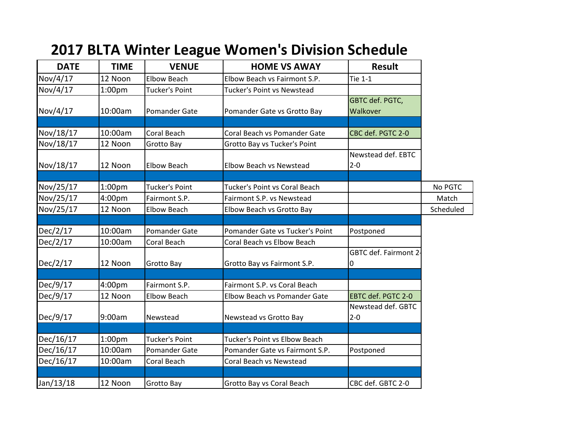| <b>DATE</b> | <b>TIME</b>        | <b>VENUE</b>          | <b>HOME VS AWAY</b>             | <b>Result</b>                 |           |
|-------------|--------------------|-----------------------|---------------------------------|-------------------------------|-----------|
| Nov/4/17    | 12 Noon            | <b>Elbow Beach</b>    | Elbow Beach vs Fairmont S.P.    | <b>Tie 1-1</b>                |           |
| Nov/4/17    | 1:00 <sub>pm</sub> | <b>Tucker's Point</b> | Tucker's Point vs Newstead      |                               |           |
| Nov/4/17    | 10:00am            | Pomander Gate         | Pomander Gate vs Grotto Bay     | GBTC def. PGTC,<br>Walkover   |           |
| Nov/18/17   | 10:00am            | Coral Beach           | Coral Beach vs Pomander Gate    | CBC def. PGTC 2-0             |           |
| Nov/18/17   | 12 Noon            | Grotto Bay            | Grotto Bay vs Tucker's Point    |                               |           |
| Nov/18/17   | 12 Noon            | <b>Elbow Beach</b>    | Elbow Beach vs Newstead         | Newstead def. EBTC<br>$2 - 0$ |           |
| Nov/25/17   | 1:00 <sub>pm</sub> | <b>Tucker's Point</b> | Tucker's Point vs Coral Beach   |                               | No PGTC   |
| Nov/25/17   | 4:00pm             | Fairmont S.P.         | Fairmont S.P. vs Newstead       |                               | Match     |
| Nov/25/17   | 12 Noon            | <b>Elbow Beach</b>    | Elbow Beach vs Grotto Bay       |                               | Scheduled |
|             |                    |                       |                                 |                               |           |
| Dec/2/17    | 10:00am            | Pomander Gate         | Pomander Gate vs Tucker's Point | Postponed                     |           |
| Dec/2/17    | 10:00am            | Coral Beach           | Coral Beach vs Elbow Beach      |                               |           |
| Dec/2/17    | 12 Noon            | Grotto Bay            | Grotto Bay vs Fairmont S.P.     | GBTC def. Fairmont 2<br>0     |           |
|             |                    |                       |                                 |                               |           |
| Dec/9/17    | 4:00pm             | Fairmont S.P.         | Fairmont S.P. vs Coral Beach    |                               |           |
| Dec/9/17    | 12 Noon            | <b>Elbow Beach</b>    | Elbow Beach vs Pomander Gate    | EBTC def. PGTC 2-0            |           |
| Dec/9/17    | 9:00am             | Newstead              | Newstead vs Grotto Bay          | Newstead def. GBTC<br>$2 - 0$ |           |
|             |                    |                       |                                 |                               |           |
| Dec/16/17   | 1:00 <sub>pm</sub> | <b>Tucker's Point</b> | Tucker's Point vs Elbow Beach   |                               |           |
| Dec/16/17   | 10:00am            | Pomander Gate         | Pomander Gate vs Fairmont S.P.  | Postponed                     |           |
| Dec/16/17   | 10:00am            | Coral Beach           | Coral Beach vs Newstead         |                               |           |
| Jan/13/18   | 12 Noon            | Grotto Bay            | Grotto Bay vs Coral Beach       | CBC def. GBTC 2-0             |           |

## **2017 BLTA Winter League Women's Division Schedule**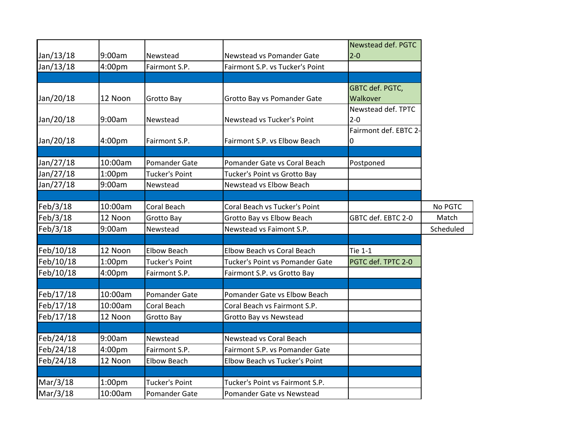|           |                    |                       |                                   | Newstead def. PGTC    |           |
|-----------|--------------------|-----------------------|-----------------------------------|-----------------------|-----------|
| Jan/13/18 | 9:00am             | Newstead              | Newstead vs Pomander Gate         | $2-0$                 |           |
| Jan/13/18 | 4:00pm             | Fairmont S.P.         | Fairmont S.P. vs Tucker's Point   |                       |           |
|           |                    |                       |                                   |                       |           |
|           |                    |                       |                                   | GBTC def. PGTC,       |           |
| Jan/20/18 | 12 Noon            | Grotto Bay            | Grotto Bay vs Pomander Gate       | Walkover              |           |
|           |                    |                       |                                   | Newstead def. TPTC    |           |
| Jan/20/18 | 9:00am             | Newstead              | Newstead vs Tucker's Point        | $2 - 0$               |           |
|           |                    |                       |                                   | Fairmont def. EBTC 2- |           |
| Jan/20/18 | 4:00pm             | Fairmont S.P.         | Fairmont S.P. vs Elbow Beach      | 0                     |           |
|           |                    |                       |                                   |                       |           |
| Jan/27/18 | 10:00am            | <b>Pomander Gate</b>  | Pomander Gate vs Coral Beach      | Postponed             |           |
| Jan/27/18 | 1:00pm             | <b>Tucker's Point</b> | Tucker's Point vs Grotto Bay      |                       |           |
| Jan/27/18 | 9:00am             | Newstead              | Newstead vs Elbow Beach           |                       |           |
|           |                    |                       |                                   |                       |           |
| Feb/3/18  | 10:00am            | Coral Beach           | Coral Beach vs Tucker's Point     |                       | No PGTC   |
| Feb/3/18  | 12 Noon            | Grotto Bay            | Grotto Bay vs Elbow Beach         | GBTC def. EBTC 2-0    | Match     |
| Feb/3/18  | 9:00am             | Newstead              | Newstead vs Faimont S.P.          |                       | Scheduled |
|           |                    |                       |                                   |                       |           |
| Feb/10/18 | 12 Noon            | <b>Elbow Beach</b>    | <b>Elbow Beach vs Coral Beach</b> | <b>Tie 1-1</b>        |           |
| Feb/10/18 | 1:00 <sub>pm</sub> | <b>Tucker's Point</b> | Tucker's Point vs Pomander Gate   | PGTC def. TPTC 2-0    |           |
| Feb/10/18 | 4:00pm             | Fairmont S.P.         | Fairmont S.P. vs Grotto Bay       |                       |           |
|           |                    |                       |                                   |                       |           |
| Feb/17/18 | 10:00am            | Pomander Gate         | Pomander Gate vs Elbow Beach      |                       |           |
| Feb/17/18 | 10:00am            | Coral Beach           | Coral Beach vs Fairmont S.P.      |                       |           |
| Feb/17/18 | 12 Noon            | Grotto Bay            | Grotto Bay vs Newstead            |                       |           |
|           |                    |                       |                                   |                       |           |
| Feb/24/18 | 9:00am             | Newstead              | Newstead vs Coral Beach           |                       |           |
| Feb/24/18 | 4:00pm             | Fairmont S.P.         | Fairmont S.P. vs Pomander Gate    |                       |           |
| Feb/24/18 | 12 Noon            | <b>Elbow Beach</b>    | Elbow Beach vs Tucker's Point     |                       |           |
|           |                    |                       |                                   |                       |           |
| Mar/3/18  | 1:00 <sub>pm</sub> | <b>Tucker's Point</b> | Tucker's Point vs Fairmont S.P.   |                       |           |
| Mar/3/18  | 10:00am            | Pomander Gate         | Pomander Gate vs Newstead         |                       |           |